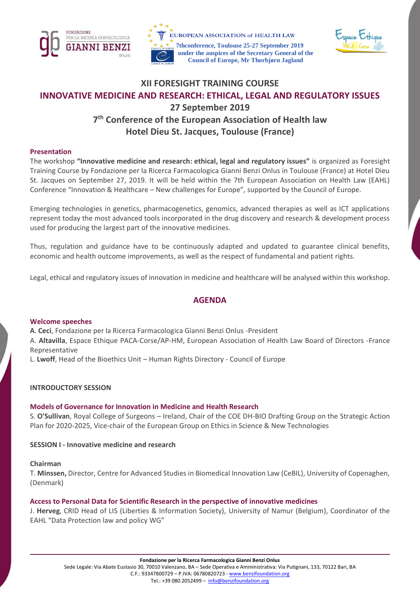





# **XII FORESIGHT TRAINING COURSE INNOVATIVE MEDICINE AND RESEARCH: ETHICAL, LEGAL AND REGULATORY ISSUES 27 September 2019 7 th Conference of the European Association of Health law Hotel Dieu St. Jacques, Toulouse (France)**

#### **Presentation**

The workshop **"Innovative medicine and research: ethical, legal and regulatory issues"** is organized as Foresight Training Course by Fondazione per la Ricerca Farmacologica Gianni Benzi Onlus in Toulouse (France) at Hotel Dieu St. Jacques on September 27, 2019. It will be held within the 7th European Association on Health Law (EAHL) Conference "Innovation & Healthcare – New challenges for Europe", supported by the Council of Europe.

Emerging technologies in genetics, pharmacogenetics, genomics, advanced therapies as well as ICT applications represent today the most advanced tools incorporated in the drug discovery and research & development process used for producing the largest part of the innovative medicines.

Thus, regulation and guidance have to be continuously adapted and updated to guarantee clinical benefits, economic and health outcome improvements, as well as the respect of fundamental and patient rights.

Legal, ethical and regulatory issues of innovation in medicine and healthcare will be analysed within this workshop.

### **AGENDA**

#### **Welcome speeches**

A. **Ceci**, Fondazione per la Ricerca Farmacologica Gianni Benzi Onlus -President

A. **Altavilla**, Espace Ethique PACA-Corse/AP-HM, European Association of Health Law Board of Directors -France Representative

L. **Lwoff**, Head of the Bioethics Unit – Human Rights Directory - Council of Europe

### **INTRODUCTORY SESSION**

### **Models of Governance for Innovation in Medicine and Health Research**

S. **O'Sullivan**, Royal College of Surgeons – Ireland, Chair of the COE DH-BIO Drafting Group on the Strategic Action Plan for 2020-2025, Vice-chair of the European Group on Ethics in Science & New Technologies

#### **SESSION I - Innovative medicine and research**

#### **Chairman**

T. **Minssen,** Director, Centre for Advanced Studies in Biomedical Innovation Law (CeBIL), University of Copenaghen, (Denmark)

### **Access to Personal Data for Scientific Research in the perspective of innovative medicines**

J. **Herveg**, CRID Head of LIS (Liberties & Information Society), University of Namur (Belgium), Coordinator of the EAHL "Data Protection law and policy WG"

**Fondazione per la Ricerca Farmacologica Gianni Benzi Onlus**

Sede Legale: Via Abate Eustasio 30, 70010 Valenzano, BA – Sede Operativa e Amministrativa: Via Putignani, 133, 70122 Bari, BA C.F.: 93347800729 – P.IVA: 06780820723 - [www.benzifoundation.org](http://www.benzifoundation.org/)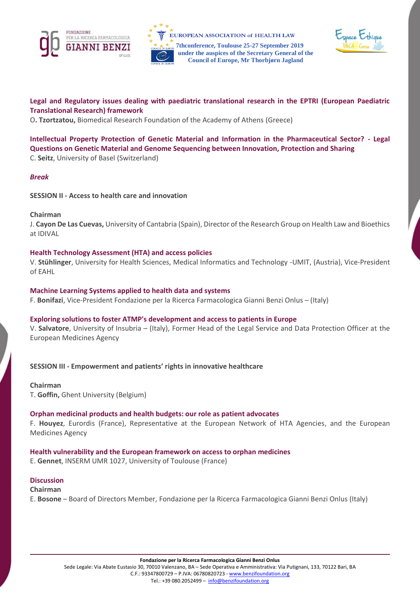





**Legal and Regulatory issues dealing with paediatric translational research in the EPTRI (European Paediatric Translational Research) framework** 

O**. Tzortzatou,** Biomedical Research Foundation of the Academy of Athens (Greece)

**Intellectual Property Protection of Genetic Material and Information in the Pharmaceutical Sector? - Legal Questions on Genetic Material and Genome Sequencing between Innovation, Protection and Sharing**  C. **Seitz**, University of Basel (Switzerland)

#### *Break*

**SESSION II - Access to health care and innovation** 

#### **Chairman**

J. **Cayon De Las Cuevas,** University of Cantabria (Spain), Director of the Research Group on Health Law and Bioethics at IDIVAL

### **Health Technology Assessment (HTA) and access policies**

V. **Stühlinger**, University for Health Sciences, Medical Informatics and Technology -UMIT, (Austria), Vice-President of EAHL

#### **Machine Learning Systems applied to health data and systems**

F. **Bonifazi**, Vice-President Fondazione per la Ricerca Farmacologica Gianni Benzi Onlus – (Italy)

### **Exploring solutions to foster ATMP's development and access to patients in Europe**

V. **Salvatore**, University of Insubria – (Italy), Former Head of the Legal Service and Data Protection Officer at the European Medicines Agency

**SESSION III - Empowerment and patients' rights in innovative healthcare**

**Chairman** T. **Goffin,** Ghent University (Belgium)

### **Orphan medicinal products and health budgets: our role as patient advocates**

F. **Houyez**, Eurordis (France), Representative at the European Network of HTA Agencies, and the European Medicines Agency

**Health vulnerability and the European framework on access to orphan medicines** E. **Gennet**, INSERM UMR 1027, University of Toulouse (France)

#### **Discussion**

**Chairman**  E. **Bosone** – Board of Directors Member, Fondazione per la Ricerca Farmacologica Gianni Benzi Onlus (Italy)

**Fondazione per la Ricerca Farmacologica Gianni Benzi Onlus**

Sede Legale: Via Abate Eustasio 30, 70010 Valenzano, BA – Sede Operativa e Amministrativa: Via Putignani, 133, 70122 Bari, BA C.F.: 93347800729 – P.IVA: 06780820723 - [www.benzifoundation.org](http://www.benzifoundation.org/)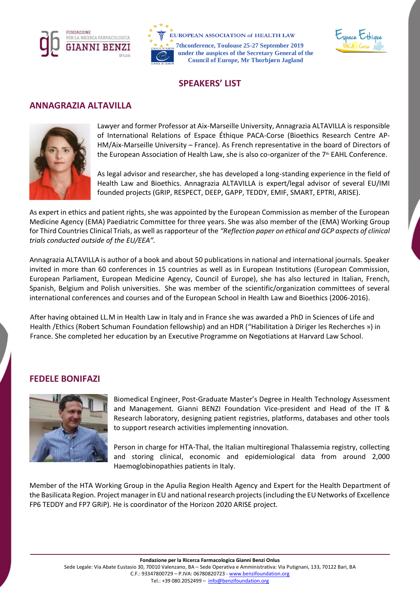





### **SPEAKERS' LIST**

### **ANNAGRAZIA ALTAVILLA**



Lawyer and former Professor at Aix-Marseille University, Annagrazia ALTAVILLA is responsible of International Relations of Espace Éthique PACA-Corse (Bioethics Research Centre AP-HM/Aix-Marseille University – France). As French representative in the board of Directors of the European Association of Health Law, she is also co-organizer of the  $7<sup>th</sup>$  EAHL Conference.

As legal advisor and researcher, she has developed a long-standing experience in the field of Health Law and Bioethics. Annagrazia ALTAVILLA is expert/legal advisor of several EU/IMI founded projects (GRIP, RESPECT, DEEP, GAPP, TEDDY, EMIF, SMART, EPTRI, ARISE).

As expert in ethics and patient rights, she was appointed by the European Commission as member of the European Medicine Agency (EMA) Paediatric Committee for three years. She was also member of the (EMA) Working Group for Third Countries Clinical Trials, as well as rapporteur of the *"Reflection paper on ethical and GCP aspects of clinical trials conducted outside of the EU/EEA".*

Annagrazia ALTAVILLA is author of a book and about 50 publications in national and international journals. Speaker invited in more than 60 conferences in 15 countries as well as in European Institutions (European Commission, European Parliament, European Medicine Agency, Council of Europe), she has also lectured in Italian, French, Spanish, Belgium and Polish universities. She was member of the scientific/organization committees of several international conferences and courses and of the European School in Health Law and Bioethics (2006-2016).

After having obtained LL.M in Health Law in Italy and in France she was awarded a PhD in Sciences of Life and Health /Ethics (Robert Schuman Foundation fellowship) and an HDR ("Habilitation à Diriger les Recherches ») in France. She completed her education by an Executive Programme on Negotiations at Harvard Law School.

## **FEDELE BONIFAZI**



Biomedical Engineer, Post-Graduate Master's Degree in Health Technology Assessment and Management. Gianni BENZI Foundation Vice-president and Head of the IT & Research laboratory, designing patient registries, platforms, databases and other tools to support research activities implementing innovation.

Person in charge for HTA-Thal, the Italian multiregional Thalassemia registry, collecting and storing clinical, economic and epidemiological data from around 2,000 Haemoglobinopathies patients in Italy.

Member of the HTA Working Group in the Apulia Region Health Agency and Expert for the Health Department of the Basilicata Region. Project manager in EU and national research projects (including the EU Networks of Excellence FP6 TEDDY and FP7 GRiP). He is coordinator of the Horizon 2020 ARISE project.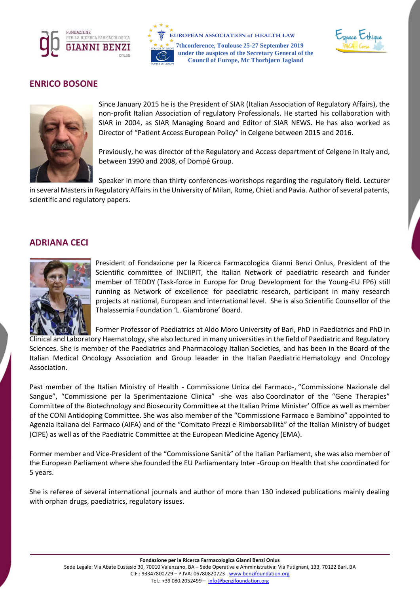





### **ENRICO BOSONE**



Since January 2015 he is the President of SIAR (Italian Association of Regulatory Affairs), the non-profit Italian Association of regulatory Professionals. He started his collaboration with SIAR in 2004, as SIAR Managing Board and Editor of SIAR NEWS. He has also worked as Director of "Patient Access European Policy" in Celgene between 2015 and 2016.

Previously, he was director of the Regulatory and Access department of Celgene in Italy and, between 1990 and 2008, of Dompé Group.

Speaker in more than thirty conferences-workshops regarding the regulatory field. Lecturer

in several Masters in Regulatory Affairs in the University of Milan, Rome, Chieti and Pavia. Author of several patents, scientific and regulatory papers.

### **ADRIANA CECI**



President of Fondazione per la Ricerca Farmacologica Gianni Benzi Onlus, President of the Scientific committee of INCIIPIT, the Italian Network of paediatric research and funder member of TEDDY (Task-force in Europe for Drug Development for the Young-EU FP6) still running as Network of excellence for paediatric research, participant in many research projects at national, European and international level. She is also Scientific Counsellor of the Thalassemia Foundation 'L. Giambrone' Board.

Former Professor of Paediatrics at Aldo Moro University of Bari, PhD in Paediatrics and PhD in Clinical and Laboratory Haematology, she also lectured in many universities in the field of Paediatric and Regulatory Sciences. She is member of the Paediatrics and Pharmacology Italian Societies, and has been in the Board of the Italian Medical Oncology Association and Group leaader in the Italian Paediatric Hematology and Oncology Association.

Past member of the Italian Ministry of Health - Commissione Unica del Farmaco-, "Commissione Nazionale del Sangue", "Commissione per la Sperimentazione Clinica" -she was also Coordinator of the "Gene Therapies" Committee of the Biotechnology and Biosecurity Committee at the Italian Prime Minister' Office as well as member of the CONI Antidoping Committee. She was also member of the "Commissione Farmaco e Bambino" appointed to Agenzia Italiana del Farmaco (AIFA) and of the "Comitato Prezzi e Rimborsabilità" of the Italian Ministry of budget (CIPE) as well as of the Paediatric Committee at the European Medicine Agency (EMA).

Former member and Vice-President of the "Commissione Sanità" of the Italian Parliament, she was also member of the European Parliament where she founded the EU Parliamentary Inter -Group on Health that she coordinated for 5 years.

She is referee of several international journals and author of more than 130 indexed publications mainly dealing with orphan drugs, paediatrics, regulatory issues.

Sede Legale: Via Abate Eustasio 30, 70010 Valenzano, BA – Sede Operativa e Amministrativa: Via Putignani, 133, 70122 Bari, BA C.F.: 93347800729 – P.IVA: 06780820723 - [www.benzifoundation.org](http://www.benzifoundation.org/)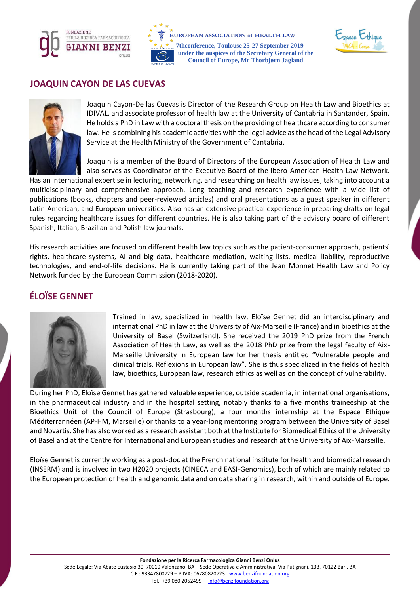





### **JOAQUIN CAYON DE LAS CUEVAS**



Joaquin Cayon-De las Cuevas is Director of the Research Group on Health Law and Bioethics at IDIVAL, and associate professor of health law at the University of Cantabria in Santander, Spain. He holds a PhD in Law with a doctoral thesis on the providing of healthcare according to consumer law. He is combining his academic activities with the legal advice as the head of the Legal Advisory Service at the Health Ministry of the Government of Cantabria.

Joaquin is a member of the Board of Directors of the European Association of Health Law and also serves as Coordinator of the Executive Board of the Ibero-American Health Law Network.

Has an international expertise in lecturing, networking, and researching on health law issues, taking into account a multidisciplinary and comprehensive approach. Long teaching and research experience with a wide list of publications (books, chapters and peer-reviewed articles) and oral presentations as a guest speaker in different Latin-American, and European universities. Also has an extensive practical experience in preparing drafts on legal rules regarding healthcare issues for different countries. He is also taking part of the advisory board of different Spanish, Italian, Brazilian and Polish law journals.

His research activities are focused on different health law topics such as the patient-consumer approach, patients ́ rights, healthcare systems, AI and big data, healthcare mediation, waiting lists, medical liability, reproductive technologies, and end-of-life decisions. He is currently taking part of the Jean Monnet Health Law and Policy Network funded by the European Commission (2018-2020).

# **ÉLOÏSE GENNET**



Trained in law, specialized in health law, Eloïse Gennet did an interdisciplinary and international PhD in law at the University of Aix-Marseille (France) and in bioethics at the University of Basel (Switzerland). She received the 2019 PhD prize from the French Association of Health Law, as well as the 2018 PhD prize from the legal faculty of Aix-Marseille University in European law for her thesis entitled "Vulnerable people and clinical trials. Reflexions in European law". She is thus specialized in the fields of health law, bioethics, European law, research ethics as well as on the concept of vulnerability.

During her PhD, Eloïse Gennet has gathered valuable experience, outside academia, in international organisations, in the pharmaceutical industry and in the hospital setting, notably thanks to a five months traineeship at the Bioethics Unit of the Council of Europe (Strasbourg), a four months internship at the Espace Ethique Méditerrannéen (AP-HM, Marseille) or thanks to a year-long mentoring program between the University of Basel and Novartis. She has also worked as a research assistant both at the Institute for Biomedical Ethics of the University of Basel and at the Centre for International and European studies and research at the University of Aix-Marseille.

Eloïse Gennet is currently working as a post-doc at the French national institute for health and biomedical research (INSERM) and is involved in two H2020 projects (CINECA and EASI-Genomics), both of which are mainly related to the European protection of health and genomic data and on data sharing in research, within and outside of Europe.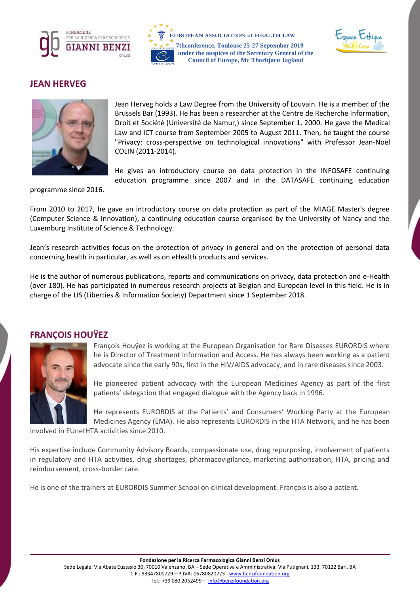





## **JEAN HERVEG**



Jean Herveg holds a Law Degree from the University of Louvain. He is a member of the Brussels Bar (1993). He has been a researcher at the Centre de Recherche Information, Droit et Société (Université de Namur,) since September 1, 2000. He gave the Medical Law and ICT course from September 2005 to August 2011. Then, he taught the course "Privacy: cross-perspective on technological innovations" with Professor Jean-Noël COLIN (2011-2014).

He gives an introductory course on data protection in the INFOSAFE continuing education programme since 2007 and in the DATASAFE continuing education

programme since 2016.

From 2010 to 2017, he gave an introductory course on data protection as part of the MIAGE Master's degree (Computer Science & Innovation), a continuing education course organised by the University of Nancy and the Luxemburg Institute of Science & Technology.

Jean's research activities focus on the protection of privacy in general and on the protection of personal data concerning health in particular, as well as on eHealth products and services.

He is the author of numerous publications, reports and communications on privacy, data protection and e-Health (over 180). He has participated in numerous research projects at Belgian and European level in this field. He is in charge of the LIS (Liberties & Information Society) Department since 1 September 2018.



**FRANÇOIS HOUŸEZ**

François Houÿez is working at the European Organisation for Rare Diseases EURORDIS where he is Director of Treatment Information and Access. He has always been working as a patient advocate since the early 90s, first in the HIV/AIDS advocacy, and in rare diseases since 2003.

He pioneered patient advocacy with the European Medicines Agency as part of the first patients' delegation that engaged dialogue with the Agency back in 1996.

He represents EURORDIS at the Patients' and Consumers' Working Party at the European Medicines Agency (EMA). He also represents EURORDIS in the HTA Network, and he has been

involved in EUnetHTA activities since 2010.

His expertise include Community Advisory Boards, compassionate use, drug repurposing, involvement of patients in regulatory and HTA activities, drug shortages, pharmacovigilance, marketing authorisation, HTA, pricing and reimbursement, cross-border care.

He is one of the trainers at EURORDIS Summer School on clinical development. François is also a patient.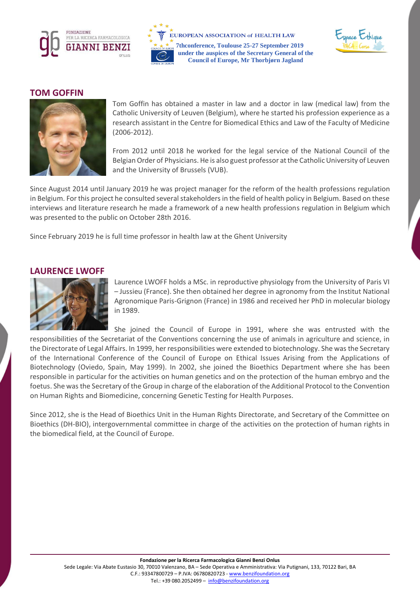





### **TOM GOFFIN**



Tom Goffin has obtained a master in law and a doctor in law (medical law) from the Catholic University of Leuven (Belgium), where he started his profession experience as a research assistant in the Centre for Biomedical Ethics and Law of the Faculty of Medicine (2006-2012).

From 2012 until 2018 he worked for the legal service of the National Council of the Belgian Order of Physicians. He is also guest professor at the Catholic University of Leuven and the University of Brussels (VUB).

Since August 2014 until January 2019 he was project manager for the reform of the health professions regulation in Belgium. For this project he consulted several stakeholders in the field of health policy in Belgium. Based on these interviews and literature research he made a framework of a new health professions regulation in Belgium which was presented to the public on October 28th 2016.

Since February 2019 he is full time professor in health law at the Ghent University

### **LAURENCE LWOFF**



Laurence LWOFF holds a MSc. in reproductive physiology from the University of Paris VI – Jussieu (France). She then obtained her degree in agronomy from the Institut National Agronomique Paris-Grignon (France) in 1986 and received her PhD in molecular biology in 1989.

She joined the Council of Europe in 1991, where she was entrusted with the responsibilities of the Secretariat of the Conventions concerning the use of animals in agriculture and science, in the Directorate of Legal Affairs. In 1999, her responsibilities were extended to biotechnology. She was the Secretary of the International Conference of the Council of Europe on Ethical Issues Arising from the Applications of Biotechnology (Oviedo, Spain, May 1999). In 2002, she joined the Bioethics Department where she has been responsible in particular for the activities on human genetics and on the protection of the human embryo and the foetus. She was the Secretary of the Group in charge of the elaboration of the Additional Protocol to the Convention on Human Rights and Biomedicine, concerning Genetic Testing for Health Purposes.

Since 2012, she is the Head of Bioethics Unit in the Human Rights Directorate, and Secretary of the Committee on Bioethics (DH-BIO), intergovernmental committee in charge of the activities on the protection of human rights in the biomedical field, at the Council of Europe.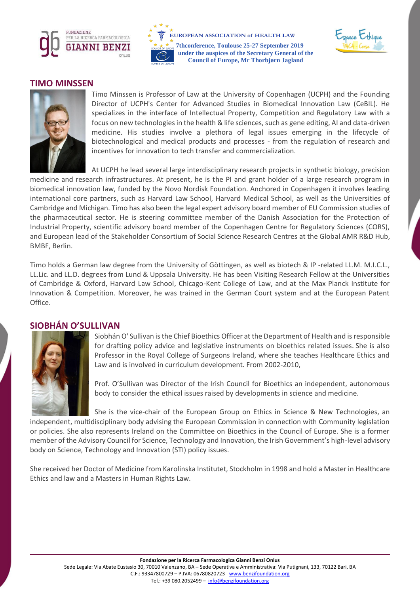





### **TIMO MINSSEN**



Timo Minssen is Professor of Law at the University of Copenhagen (UCPH) and the Founding Director of UCPH's Center for Advanced Studies in Biomedical Innovation Law (CeBIL). He specializes in the interface of Intellectual Property, Competition and Regulatory Law with a focus on new technologies in the health & life sciences, such as gene editing, AI and data-driven medicine. His studies involve a plethora of legal issues emerging in the lifecycle of biotechnological and medical products and processes - from the regulation of research and incentives for innovation to tech transfer and commercialization.

At UCPH he lead several large interdisciplinary research projects in synthetic biology, precision medicine and research infrastructures. At present, he is the PI and grant holder of a large research program in biomedical innovation law, funded by the Novo Nordisk Foundation. Anchored in Copenhagen it involves leading international core partners, such as Harvard Law School, Harvard Medical School, as well as the Universities of Cambridge and Michigan. Timo has also been the legal expert advisory board member of EU Commission studies of the pharmaceutical sector. He is steering committee member of the Danish Association for the Protection of Industrial Property, scientific advisory board member of the Copenhagen Centre for Regulatory Sciences (CORS), and European lead of the Stakeholder Consortium of Social Science Research Centres at the Global AMR R&D Hub, BMBF, Berlin.

Timo holds a German law degree from the University of Göttingen, as well as biotech & IP -related LL.M. M.I.C.L., LL.Lic. and LL.D. degrees from Lund & Uppsala University. He has been Visiting Research Fellow at the Universities of Cambridge & Oxford, Harvard Law School, Chicago-Kent College of Law, and at the Max Planck Institute for Innovation & Competition. Moreover, he was trained in the German Court system and at the European Patent Office.

### **SIOBHÁN O'SULLIVAN**



Siobhán O' Sullivan is the Chief Bioethics Officer at the Department of Health and is responsible for drafting policy advice and legislative instruments on bioethics related issues. She is also Professor in the Royal College of Surgeons Ireland, where she teaches Healthcare Ethics and Law and is involved in curriculum development. From 2002-2010,

Prof. O'Sullivan was Director of the Irish Council for Bioethics an independent, autonomous body to consider the ethical issues raised by developments in science and medicine. 

She is the vice-chair of the European Group on Ethics in Science & New Technologies, an independent, multidisciplinary body advising the European Commission in connection with Community legislation or policies. She also represents Ireland on the Committee on Bioethics in the Council of Europe. She is a former member of the Advisory Council for Science, Technology and Innovation, the Irish Government's high-level advisory body on Science, Technology and Innovation (STI) policy issues.

She received her Doctor of Medicine from Karolinska Institutet, Stockholm in 1998 and hold a Master in Healthcare Ethics and law and a Masters in Human Rights Law.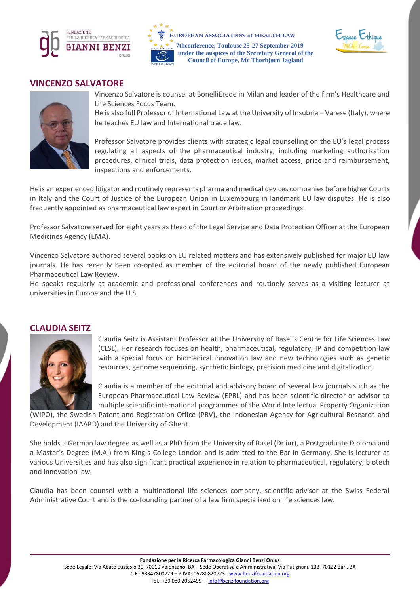





### **VINCENZO SALVATORE**



Vincenzo Salvatore is counsel at BonelliErede in Milan and leader of the firm's Healthcare and Life Sciences Focus Team.

He is also full Professor of International Law at the University of Insubria - Varese (Italy), where he teaches EU law and International trade law.

Professor Salvatore provides clients with strategic legal counselling on the EU's legal process regulating all aspects of the pharmaceutical industry, including marketing authorization procedures, clinical trials, data protection issues, market access, price and reimbursement, inspections and enforcements.

He is an experienced litigator and routinely represents pharma and medical devices companies before higher Courts in Italy and the Court of Justice of the European Union in Luxembourg in landmark EU law disputes. He is also frequently appointed as pharmaceutical law expert in Court or Arbitration proceedings.

Professor Salvatore served for eight years as Head of the Legal Service and Data Protection Officer at the European Medicines Agency (EMA).

Vincenzo Salvatore authored several books on EU related matters and has extensively published for major EU law journals. He has recently been co-opted as member of the editorial board of the newly published European Pharmaceutical Law Review.

He speaks regularly at academic and professional conferences and routinely serves as a visiting lecturer at universities in Europe and the U.S.

### **CLAUDIA SEITZ**



Claudia Seitz is Assistant Professor at the University of Basel´s Centre for Life Sciences Law (CLSL). Her research focuses on health, pharmaceutical, regulatory, IP and competition law with a special focus on biomedical innovation law and new technologies such as genetic resources, genome sequencing, synthetic biology, precision medicine and digitalization.

Claudia is a member of the editorial and advisory board of several law journals such as the European Pharmaceutical Law Review (EPRL) and has been scientific director or advisor to multiple scientific international programmes of the World Intellectual Property Organization

(WIPO), the Swedish Patent and Registration Office (PRV), the Indonesian Agency for Agricultural Research and Development (IAARD) and the University of Ghent.

She holds a German law degree as well as a PhD from the University of Basel (Dr iur), a Postgraduate Diploma and a Master´s Degree (M.A.) from King´s College London and is admitted to the Bar in Germany. She is lecturer at various Universities and has also significant practical experience in relation to pharmaceutical, regulatory, biotech and innovation law.

Claudia has been counsel with a multinational life sciences company, scientific advisor at the Swiss Federal Administrative Court and is the co-founding partner of a law firm specialised on life sciences law.

**Fondazione per la Ricerca Farmacologica Gianni Benzi Onlus**

Sede Legale: Via Abate Eustasio 30, 70010 Valenzano, BA – Sede Operativa e Amministrativa: Via Putignani, 133, 70122 Bari, BA C.F.: 93347800729 – P.IVA: 06780820723 - [www.benzifoundation.org](http://www.benzifoundation.org/)